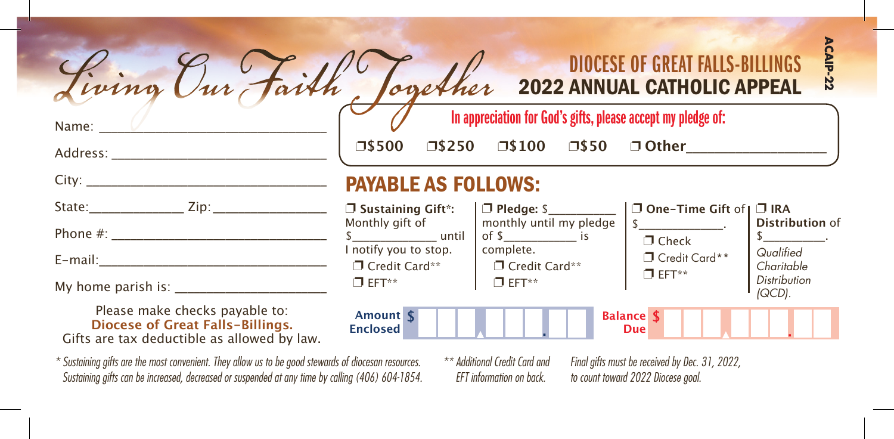| Living Our Faith, Cogether 2022 ANNUAL CATHOLIC APPEAL |                                                              |                            |                 |                | <b>DIOCESE OF GREAT FALLS-BILLINGS</b> | <b>CAIP</b><br>22 |
|--------------------------------------------------------|--------------------------------------------------------------|----------------------------|-----------------|----------------|----------------------------------------|-------------------|
| Name:                                                  | In appreciation for God's gifts, please accept my pledge of: |                            |                 |                |                                        |                   |
| Address:                                               | 口\$500                                                       | $\square$ \$250            | $\square$ \$100 | $\square$ \$50 | □ Other                                |                   |
| City:                                                  |                                                              | <b>PAYARLE AS FOLLOWS:</b> |                 |                |                                        |                   |

## PAYABLE AS FOLLOWS:

| State:<br>Zip:                                                                                                                                                                                                                  | $\Box$ Sustaining Gift*:<br>Monthly gift of | $\Box$ Pledge: \$<br>monthly until my pledge                                                                                                                                                                                        | □ One-Time Gift of   □ IRA                 | Distribution of               |
|---------------------------------------------------------------------------------------------------------------------------------------------------------------------------------------------------------------------------------|---------------------------------------------|-------------------------------------------------------------------------------------------------------------------------------------------------------------------------------------------------------------------------------------|--------------------------------------------|-------------------------------|
| Phone $#$ :                                                                                                                                                                                                                     | until                                       | $\frac{1}{2}$ of \$                                                                                                                                                                                                                 | $\Box$ Check                               |                               |
| $E$ -mail:                                                                                                                                                                                                                      | I notify you to stop.<br>□ Credit Card**    | complete.<br>Credit Card**                                                                                                                                                                                                          | <sup>1</sup> Credit Card**<br>$\Box$ EFT** | Qualified<br>Charitable       |
| My home parish is:                                                                                                                                                                                                              | $\Box$ FFT**                                | $\Box$ FFT**                                                                                                                                                                                                                        |                                            | <b>Distribution</b><br>(QCD). |
| Please make checks payable to:<br>Diocese of Great Falls-Billings.<br>Gifts are tax deductible as allowed by law.                                                                                                               | Amount \$<br><b>Enclosed</b>                |                                                                                                                                                                                                                                     | <b>Balance \$</b><br>Due                   |                               |
| $\sim$ . A contract the contract of the contract of the contract of the contract of the contract of the contract of the contract of the contract of the contract of the contract of the contract of the contract of the contrac |                                             | $\overline{a}$ . The contract of the contract of the contract of the contract of the contract of the contract of the contract of the contract of the contract of the contract of the contract of the contract of the contract of th |                                            |                               |

*\* Sustaining gifts are the most convenient. They allow us to be good stewards of diocesan resources. Sustaining gifts can be increased, decreased or suspended at any time by calling (406) 604-1854.*

*Final gifts must be received by Dec. 31, 2022, to count toward 2022 Diocese goal. \*\* Additional Credit Card and EFT information on back.*